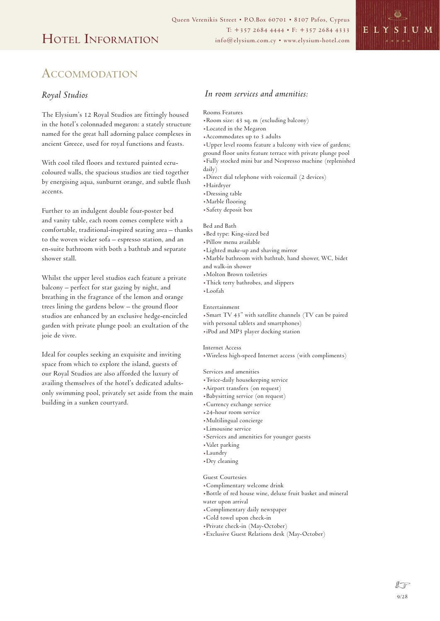

# **ACCOMMODATION**

## *Royal Studios*

The Elysium's 12 Royal Studios are fittingly housed in the hotel's colonnaded megaron: a stately structure named for the great hall adorning palace complexes in ancient Greece, used for royal functions and feasts.

With cool tiled floors and textured painted ecrucoloured walls, the spacious studios are tied together by energising aqua, sunburnt orange, and subtle flush accents.

Further to an indulgent double four-poster bed and vanity table, each room comes complete with a comfortable, traditional-inspired seating area – thanks to the woven wicker sofa – espresso station, and an en-suite bathroom with both a bathtub and separate shower stall.

Whilst the upper level studios each feature a private balcony – perfect for star gazing by night, and breathing in the fragrance of the lemon and orange trees lining the gardens below – the ground floor studios are enhanced by an exclusive hedge-encircled garden with private plunge pool: an exultation of the joie de vivre.

Ideal for couples seeking an exquisite and inviting space from which to explore the island, guests of our Royal Studios are also afforded the luxury of availing themselves of the hotel's dedicated adultsonly swimming pool, privately set aside from the main building in a sunken courtyard.

## *In room services and amenities:*

- Rooms Features
- .Room size: 43 sq. m (excluding balcony)
- .Located in the Megaron
- .Accommodates up to 3 adults
- .Upper level rooms feature a balcony with view of gardens;
- ground floor units feature terrace with private plunge pool .Fully stocked mini bar and Nespresso machine (replenished
- daily)
- .Direct dial telephone with voicemail (2 devices)
- .Hairdryer
- .Dressing table
- .Marble flooring
- .Safety deposit box

#### Bed and Bath

- .Bed type: King-sized bed
- .Pillow menu available
- .Lighted make-up and shaving mirror
- .Marble bathroom with bathtub, hand shower, WC, bidet and walk-in shower
- .Molton Brown toiletries
- .Thick terry bathrobes, and slippers
- .Loofah
- 

### Entertainment

.Smart TV 43" with satellite channels (TV can be paired with personal tablets and smartphones)

.iPod and MP3 player docking station

#### Internet Access

.Wireless high-speed Internet access (with compliments)

Services and amenities

- .Twice-daily housekeeping service
- .Airport transfers (on request)
- .Babysitting service (on request)
- .Currency exchange service
- .24-hour room service
- .Multilingual concierge
- .Limousine service
- .Services and amenities for younger guests
- .Valet parking
- .Laundry
- .Dry cleaning

### Guest Courtesies

- .Complimentary welcome drink
- .Bottle of red house wine, deluxe fruit basket and mineral
- water upon arrival
- .Complimentary daily newspaper
- .Cold towel upon check-in
- .Private check-in (May-October)
- .Exclusive Guest Relations desk (May-October)